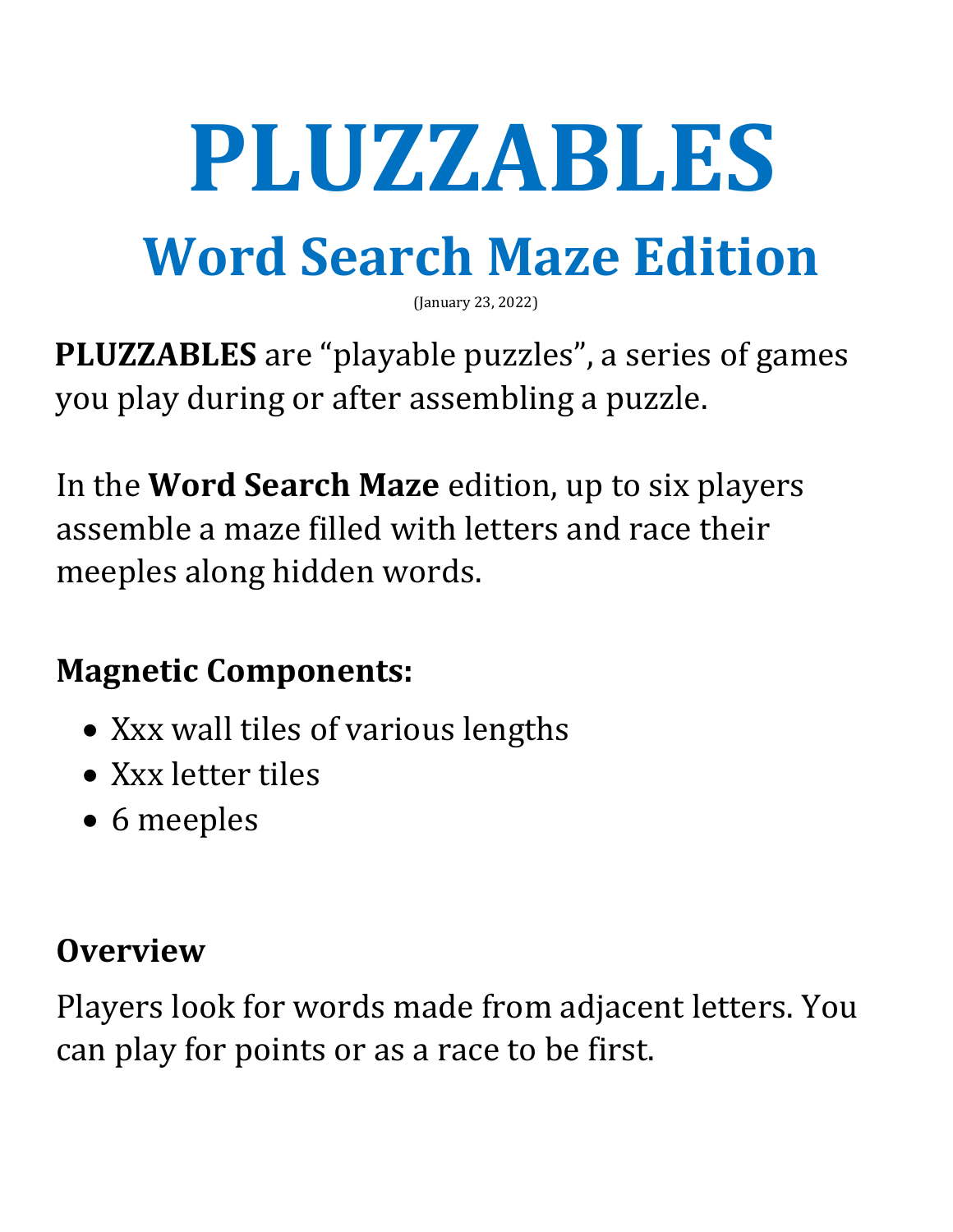# **PLUZZABLES**

# **Word Search Maze Edition**

(January 23, 2022)

**PLUZZABLES** are "playable puzzles", a series of games you play during or after assembling a puzzle.

In the **Word Search Maze** edition, up to six players assemble a maze filled with letters and race their meeples along hidden words.

# **Magnetic Components:**

- Xxx wall tiles of various lengths
- Xxx letter tiles
- 6 meeples

# **Overview**

Players look for words made from adjacent letters. You can play for points or as a race to be first.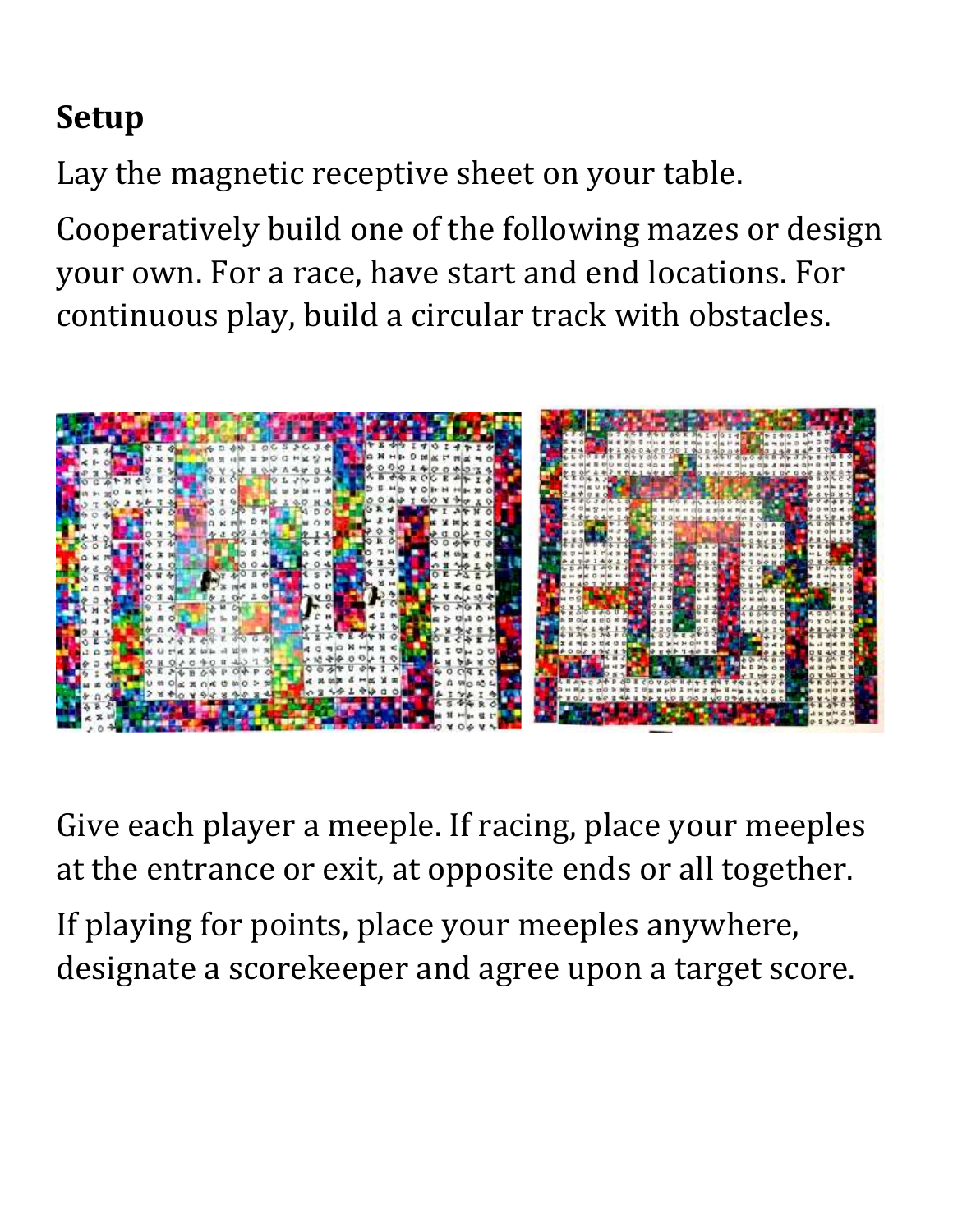## **Setup**

Lay the magnetic receptive sheet on your table.

Cooperatively build one of the following mazes or design your own. For a race, have start and end locations. For continuous play, build a circular track with obstacles.



Give each player a meeple. If racing, place your meeples at the entrance or exit, at opposite ends or all together. If playing for points, place your meeples anywhere, designate a scorekeeper and agree upon a target score.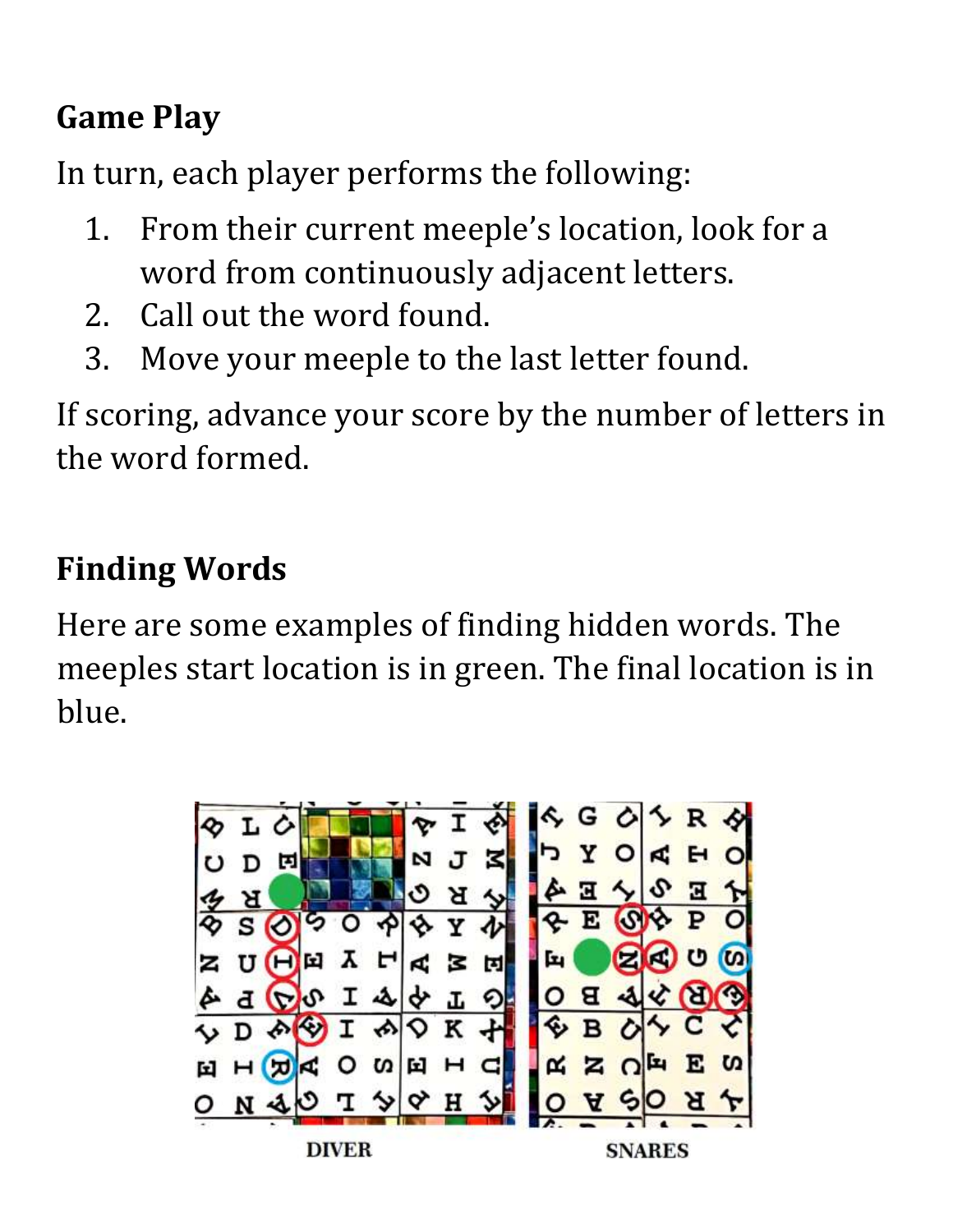#### **Game Play**

In turn, each player performs the following:

- 1. From their current meeple's location, look for a word from continuously adjacent letters.
- 2. Call out the word found.
- 3. Move your meeple to the last letter found.

If scoring, advance your score by the number of letters in the word formed.

# **Finding Words**

Here are some examples of finding hidden words. The meeples start location is in green. The final location is in blue.

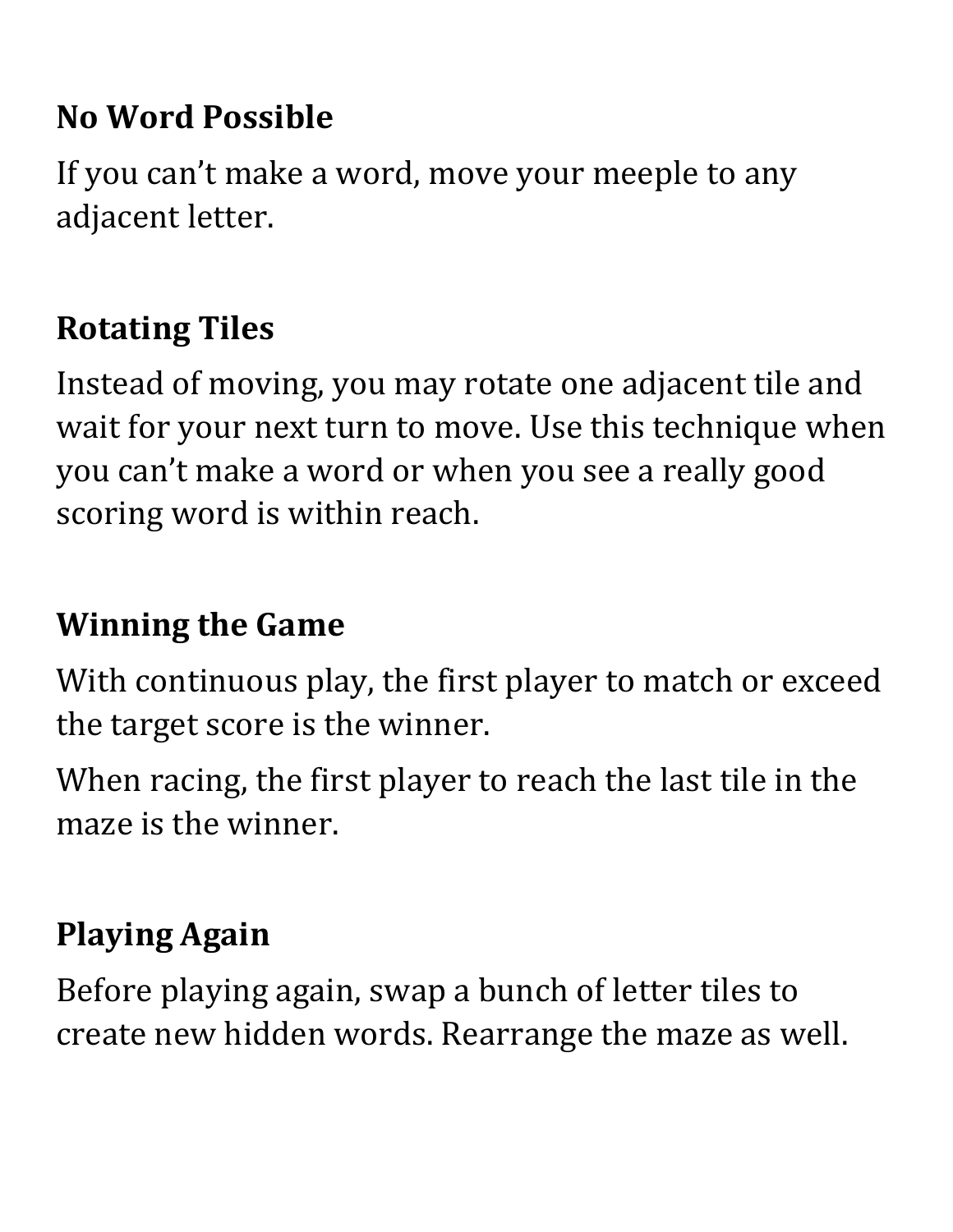#### **No Word Possible**

If you can't make a word, move your meeple to any adjacent letter.

#### **Rotating Tiles**

Instead of moving, you may rotate one adjacent tile and wait for your next turn to move. Use this technique when you can't make a word or when you see a really good scoring word is within reach.

#### **Winning the Game**

With continuous play, the first player to match or exceed the target score is the winner.

When racing, the first player to reach the last tile in the maze is the winner.

## **Playing Again**

Before playing again, swap a bunch of letter tiles to create new hidden words. Rearrange the maze as well.